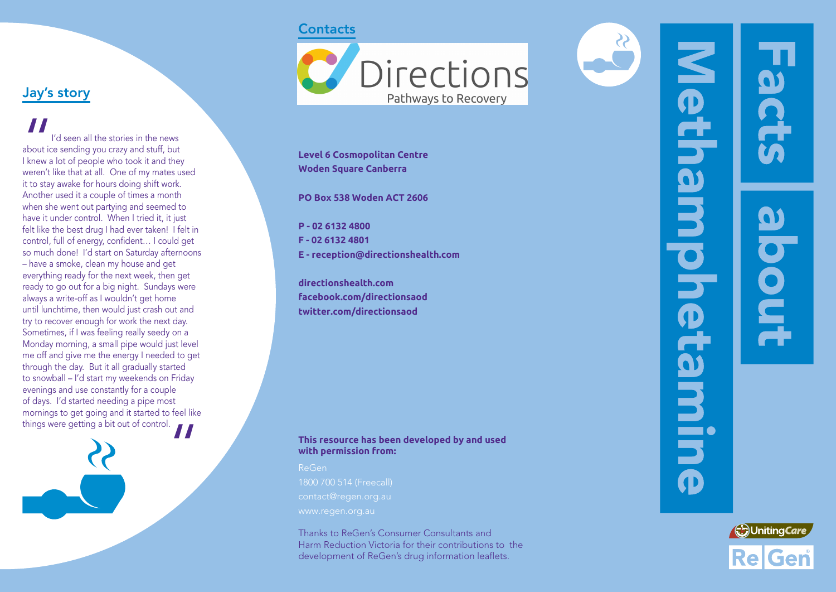#### **Contacts**



**Level 6 Cosmopolitan Centre Woden Square Canberra**

**PO Box 538 Woden ACT 2606**

**P - 02 6132 4800 F - 02 6132 4801 E - reception@directionshealth.com**

**directionshealth.com facebook.com/directionsaod twitter.com/directionsaod**

#### **This resource has been developed by and used with permission from:**

ReGen

Thanks to ReGen's Consumer Consultants and Harm Reduction Victoria for their contributions to the development of ReGen's drug information leaflets.



# Jay's story

**AN**<br>about ic<br>I knew a<br>weren't I'd seen all the stories in the news about ice sending you crazy and stuff, but I knew a lot of people who took it and they weren't like that at all. One of my mates used it to stay awake for hours doing shift work. Another used it a couple of times a month when she went out partying and seemed to have it under control. When I tried it, it just felt like the best drug I had ever taken! I felt in control, full of energy, confident… I could get so much done! I'd start on Saturday afternoons – have a smoke, clean my house and get everything ready for the next week, then get ready to go out for a big night. Sundays were always a write-off as I wouldn't get home until lunchtime, then would just crash out and try to recover enough for work the next day. Sometimes, if I was feeling really seedy on a Monday morning, a small pipe would just level me off and give me the energy I needed to get through the day. But it all gradually started to snowball – I'd start my weekends on Friday evenings and use constantly for a couple of days. I'd started needing a pipe most mornings to get going and it started to feel like